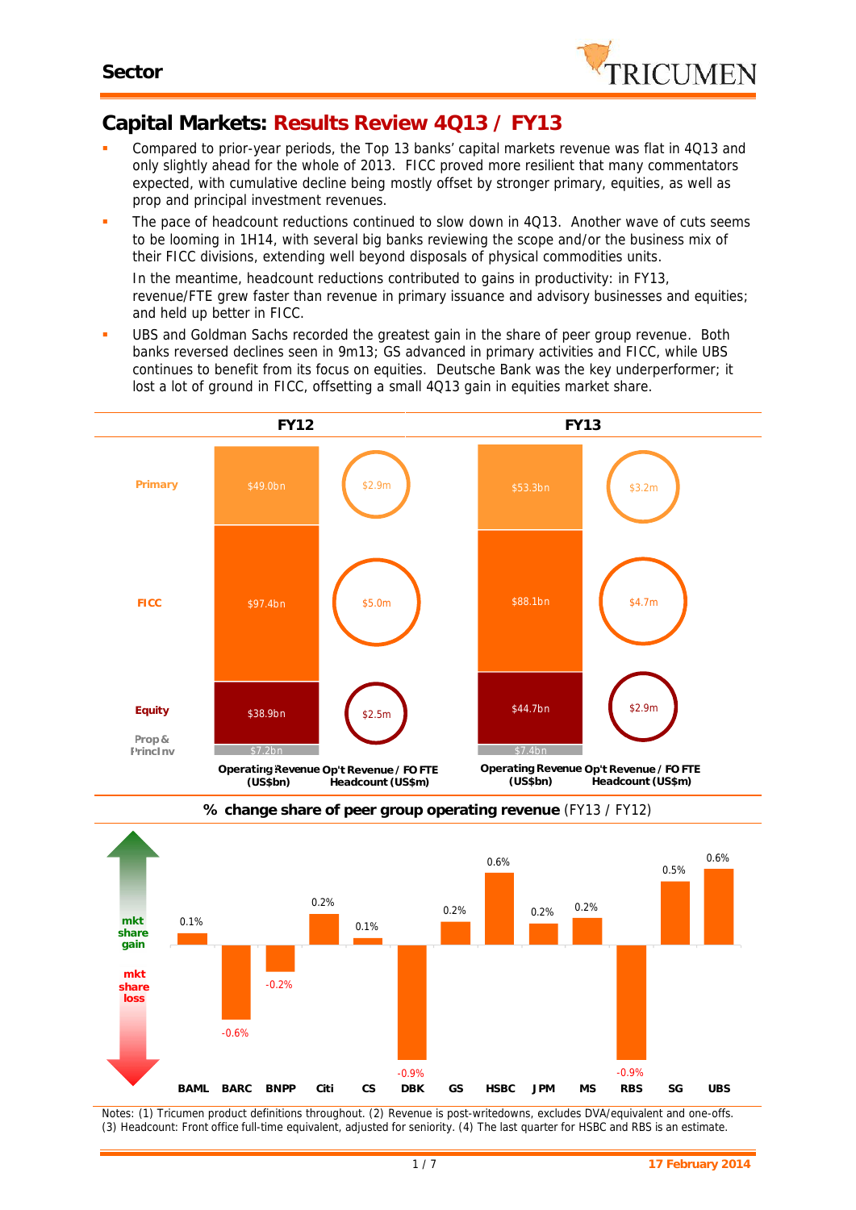

# **Capital Markets: Results Review 4Q13 / FY13**

- Compared to prior-year periods, the Top 13 banks' capital markets revenue was flat in 4Q13 and only slightly ahead for the whole of 2013. FICC proved more resilient that many commentators expected, with cumulative decline being mostly offset by stronger primary, equities, as well as prop and principal investment revenues.
- The pace of headcount reductions continued to slow down in 4Q13. Another wave of cuts seems to be looming in 1H14, with several big banks reviewing the scope and/or the business mix of their FICC divisions, extending well beyond disposals of physical commodities units.

In the meantime, headcount reductions contributed to gains in productivity: in FY13, revenue/FTE grew faster than revenue in primary issuance and advisory businesses and equities; and held up better in FICC.

 UBS and Goldman Sachs recorded the greatest gain in the share of peer group revenue. Both banks reversed declines seen in 9m13; GS advanced in primary activities and FICC, while UBS continues to benefit from its focus on equities. Deutsche Bank was the key underperformer; it lost a lot of ground in FICC, offsetting a small 4Q13 gain in equities market share.





**% change share of peer group operating revenue** (FY13 / FY12)

*Notes: (1) Tricumen product definitions throughout. (2) Revenue is post-writedowns, excludes DVA/equivalent and one-offs.* (3) Headcount: Front office full-time equivalent, adjusted for seniority. (4) The last quarter for HSBC and RBS is an estimate.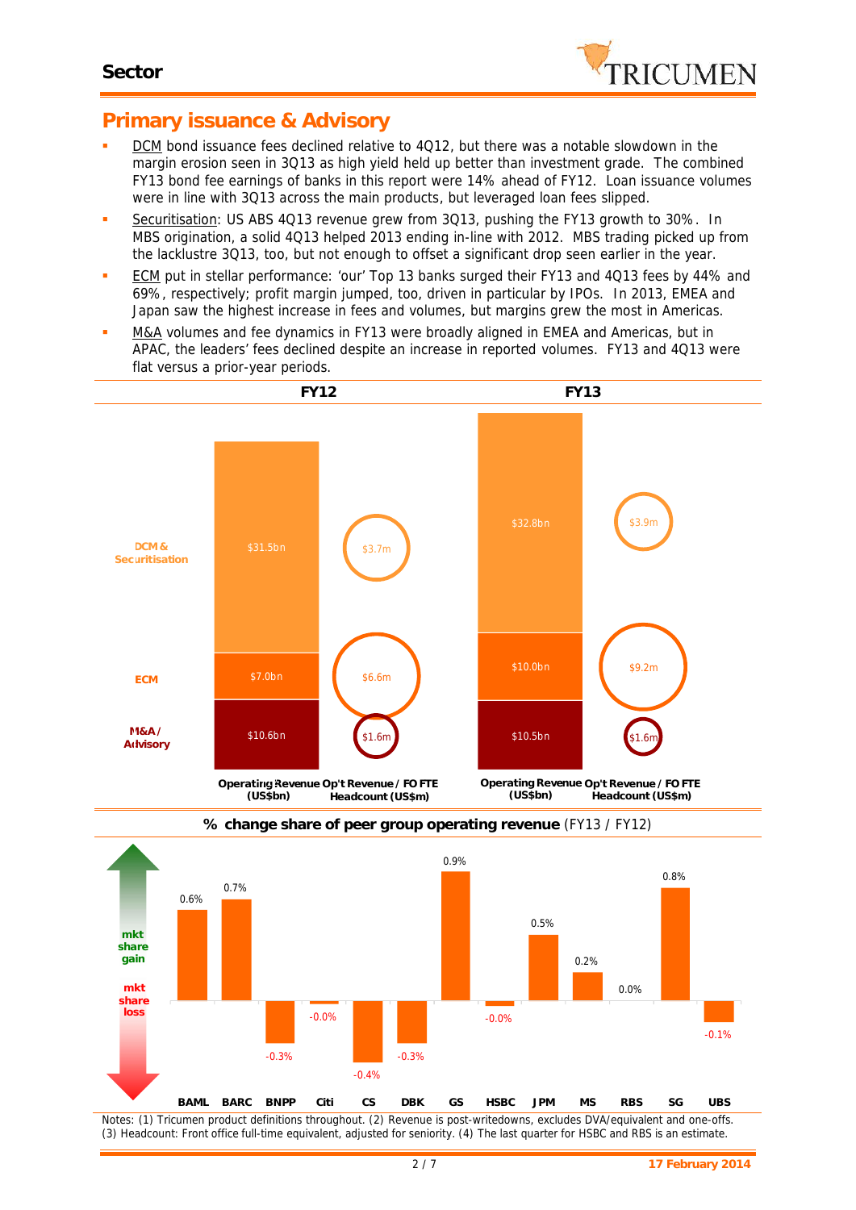

### **Primary issuance & Advisory**

- DCM bond issuance fees declined relative to 4Q12, but there was a notable slowdown in the margin erosion seen in 3Q13 as high yield held up better than investment grade. The combined FY13 bond fee earnings of banks in this report were 14% ahead of FY12. Loan issuance volumes were in line with 3Q13 across the main products, but leveraged loan fees slipped.
- Securitisation: US ABS 4Q13 revenue grew from 3Q13, pushing the FY13 growth to 30%. In MBS origination, a solid 4Q13 helped 2013 ending in-line with 2012. MBS trading picked up from the lacklustre 3Q13, too, but not enough to offset a significant drop seen earlier in the year.
- **ECM** put in stellar performance: 'our' Top 13 banks surged their FY13 and 4Q13 fees by 44% and 69%, respectively; profit margin jumped, too, driven in particular by IPOs. In 2013, EMEA and Japan saw the highest increase in fees and volumes, but margins grew the most in Americas.
- M&A volumes and fee dynamics in FY13 were broadly aligned in EMEA and Americas, but in APAC, the leaders' fees declined despite an increase in reported volumes. FY13 and 4Q13 were flat versus a prior-year periods.





#### **% change share of peer group operating revenue** (FY13 / FY12)

*Notes: (1) Tricumen product definitions throughout. (2) Revenue is post-writedowns, excludes DVA/equivalent and one-offs.* (3) Headcount: Front office full-time equivalent, adjusted for seniority. (4) The last quarter for HSBC and RBS is an estimate.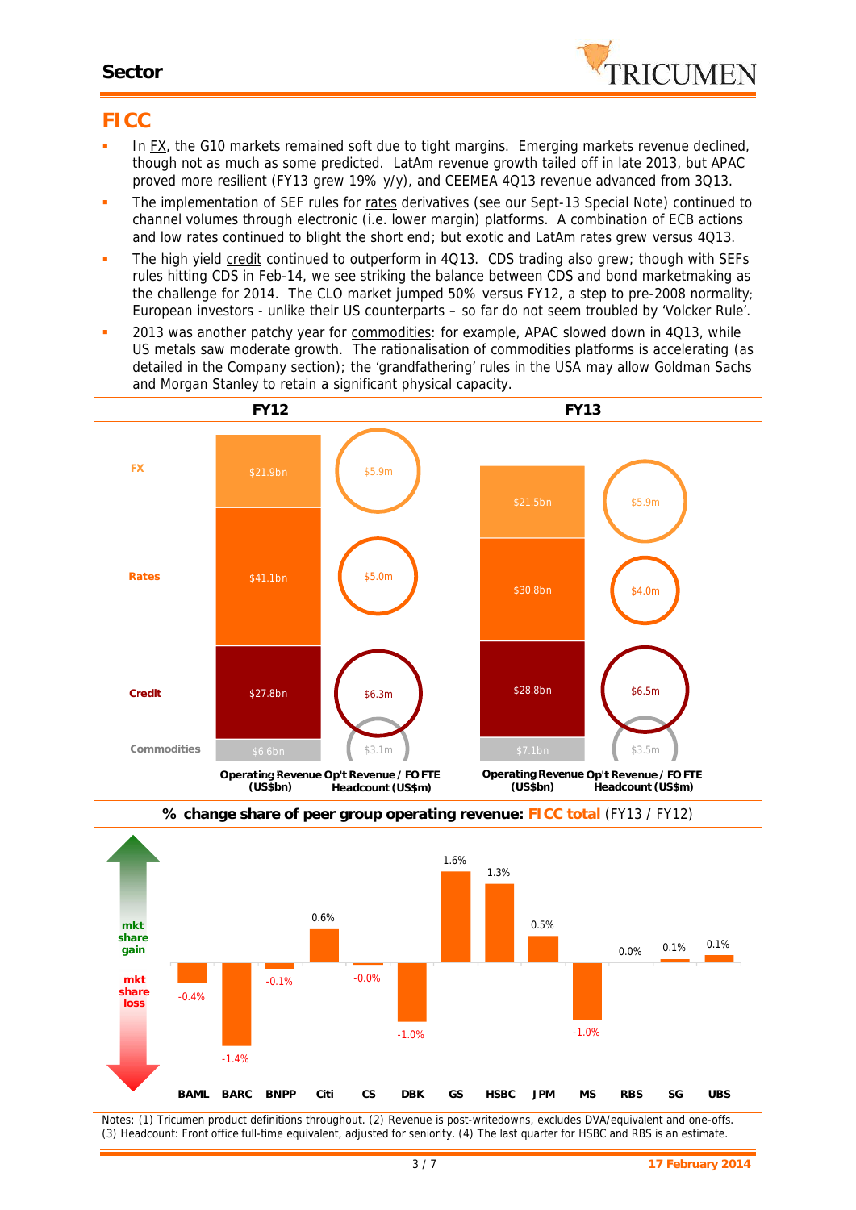### **Sector**



### **FICC**

- In FX, the G10 markets remained soft due to tight margins. Emerging markets revenue declined, though not as much as some predicted. LatAm revenue growth tailed off in late 2013, but APAC proved more resilient (FY13 grew 19% y/y), and CEEMEA 4Q13 revenue advanced from 3Q13.
- The implementation of SEF rules for rates derivatives (see our Sept-13 Special Note) continued to channel volumes through electronic (i.e. lower margin) platforms. A combination of ECB actions and low rates continued to blight the short end; but exotic and LatAm rates grew versus 4Q13.
- The high yield credit continued to outperform in 4Q13. CDS trading also grew; though with SEFs rules hitting CDS in Feb-14, we see striking the balance between CDS and bond marketmaking as *the* challenge for 2014. The CLO market jumped 50% versus FY12, a step to pre-2008 normality; European investors - unlike their US counterparts – so far do not seem troubled by 'Volcker Rule'.
- 2013 was another patchy year for commodities: for example, APAC slowed down in 4Q13, while US metals saw moderate growth. The rationalisation of commodities platforms is accelerating (as detailed in the Company section); the 'grandfathering' rules in the USA *may* allow Goldman Sachs 3.5 3.5 and Morgan Stanley to retain a significant physical capacity.







*Notes: (1) Tricumen product definitions throughout. (2) Revenue is post-writedowns, excludes DVA/equivalent and one-offs.* (3) Headcount: Front office full-time equivalent, adjusted for seniority. (4) The last quarter for HSBC and RBS is an estimate.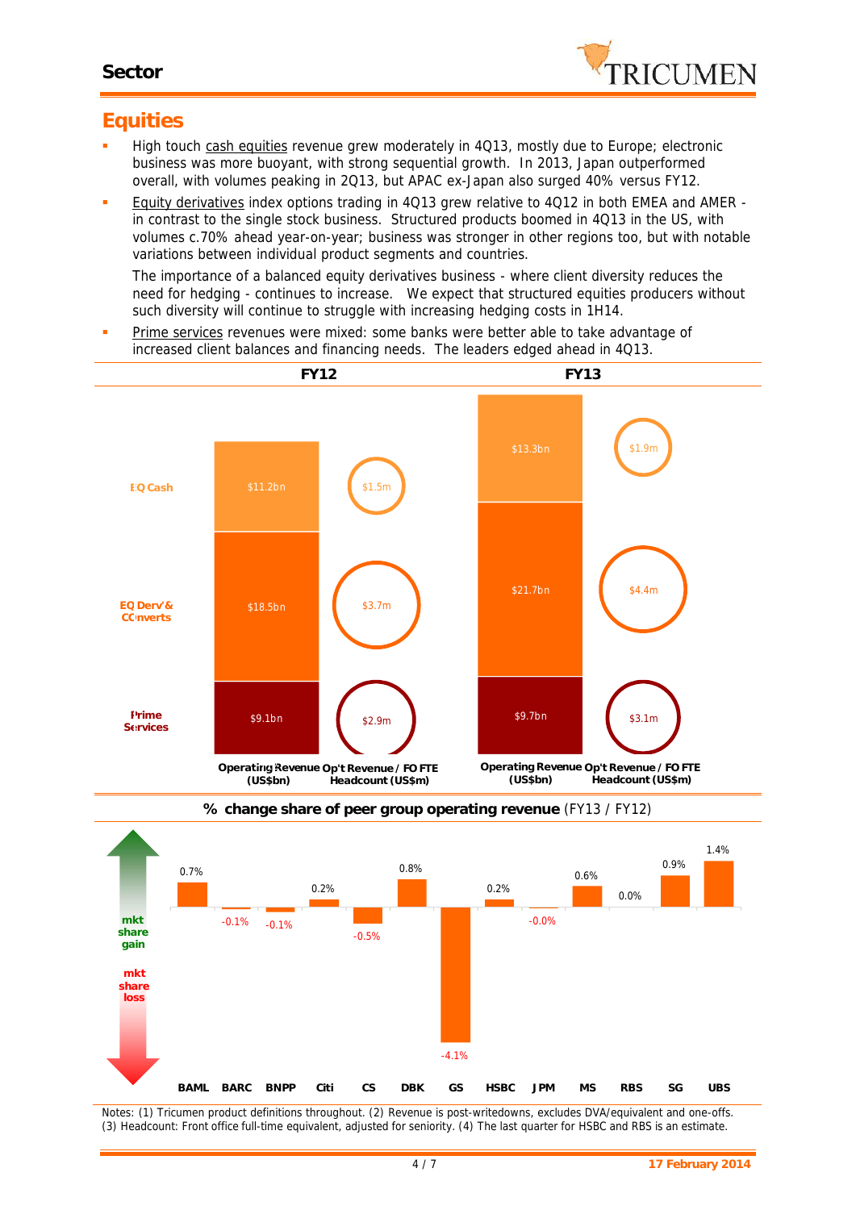

### **Equities**

- High touch cash equities revenue grew moderately in 4Q13, mostly due to Europe; electronic business was more buoyant, with strong sequential growth. In 2013, Japan outperformed overall, with volumes peaking in 2Q13, but APAC ex-Japan also surged 40% versus FY12.
- Equity derivatives index options trading in 4Q13 grew relative to 4Q12 in both EMEA and AMER in contrast to the single stock business. Structured products boomed in 4Q13 in the US, with volumes c.70% ahead year-on-year; business was stronger in other regions too, but with notable variations between individual product segments and countries.

The importance of a balanced equity derivatives business - where client diversity reduces the need for hedging - continues to increase. We expect that structured equities producers without such diversity will continue to struggle with increasing hedging costs in 1H14.

 Prime services revenues were mixed: some banks were better able to take advantage of increased client balances and financing needs. The leaders edged ahead in 4Q13.





**% change share of peer group operating revenue** (FY13 / FY12)

*Notes: (1) Tricumen product definitions throughout. (2) Revenue is post-writedowns, excludes DVA/equivalent and one-offs.* (3) Headcount: Front office full-time equivalent, adjusted for seniority, (4) The last quarter for HSBC and RBS is an estimate.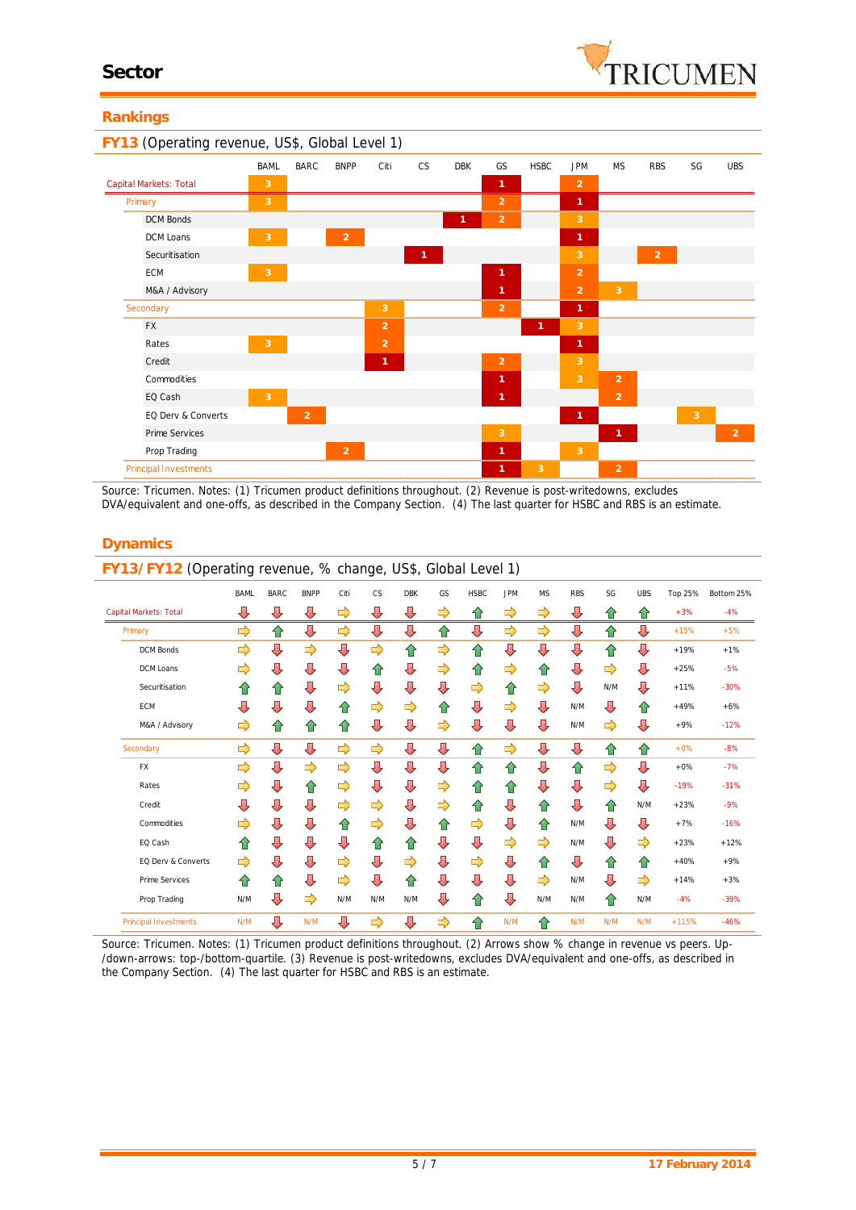#### **Rankings**

| FY13 (Operating revenue, US\$, Global Level 1) |                |                |                |                |              |            |                |              |                |                |                |    |            |
|------------------------------------------------|----------------|----------------|----------------|----------------|--------------|------------|----------------|--------------|----------------|----------------|----------------|----|------------|
|                                                | <b>BAML</b>    | <b>BARC</b>    | <b>BNPP</b>    | Citi           | <b>CS</b>    | <b>DBK</b> | GS             | <b>HSBC</b>  | <b>JPM</b>     | <b>MS</b>      | <b>RBS</b>     | SG | <b>UBS</b> |
| Capital Markets: Total                         | 3              |                |                |                |              |            | 1              |              | $\overline{2}$ |                |                |    |            |
| Primary                                        | 3              |                |                |                |              |            | $\overline{2}$ |              | 1              |                |                |    |            |
| <b>DCM Bonds</b>                               |                |                |                |                |              | 1          | $\overline{2}$ |              | 3              |                |                |    |            |
| DCM Loans                                      | 3              |                | $\overline{2}$ |                |              |            |                |              | 1              |                |                |    |            |
| Securitisation                                 |                |                |                |                | $\mathbf{1}$ |            |                |              | 3              |                | $\overline{2}$ |    |            |
| ECM                                            | $\mathbf{3}$   |                |                |                |              |            | 1              |              | $\overline{2}$ |                |                |    |            |
| M&A / Advisory                                 |                |                |                |                |              |            | $\mathbf{1}$   |              | $\overline{2}$ | 3              |                |    |            |
| Secondary                                      |                |                |                | 3              |              |            | $\overline{2}$ |              | $\mathbf{1}$   |                |                |    |            |
| <b>FX</b>                                      |                |                |                | $\overline{2}$ |              |            |                | $\mathbf{1}$ | 3              |                |                |    |            |
| Rates                                          | 3              |                |                | $\overline{2}$ |              |            |                |              | 1              |                |                |    |            |
| Credit                                         |                |                |                | 1              |              |            | $\overline{2}$ |              | 3              |                |                |    |            |
| Commodities                                    |                |                |                |                |              |            | 1              |              | 3              | $\overline{2}$ |                |    |            |
| EQ Cash                                        | $\overline{3}$ |                |                |                |              |            | $\mathbf{1}$   |              |                | $\overline{2}$ |                |    |            |
| EQ Derv & Converts                             |                | $\overline{2}$ |                |                |              |            |                |              | $\mathbf{1}$   |                |                | 3  |            |
| Prime Services                                 |                |                |                |                |              |            | 3              |              |                | $\mathbf{1}$   |                |    | 2          |
| Prop Trading                                   |                |                | $\overline{2}$ |                |              |            | $\mathbf{1}$   |              | 3              |                |                |    |            |
| Principal Investments                          |                |                |                |                |              |            | $\mathbf{1}$   | 3            |                | $\overline{2}$ |                |    |            |

*Source: Tricumen. Notes: (1) Tricumen product definitions throughout. (2) Revenue is post-writedowns, excludes DVA/equivalent and one-offs, as described in the Company Section. (4) The last quarter for HSBC and RBS is an estimate.*

|                                    | <b>BAML</b> | <b>BARC</b> | <b>BNPP</b> | Citi | <b>CS</b> | <b>DBK</b> | GS            | <b>HSBC</b> | <b>JPM</b>    | <b>MS</b> | <b>RBS</b> | SG  | <b>UBS</b> | Top 25% | Bottom 25% |
|------------------------------------|-------------|-------------|-------------|------|-----------|------------|---------------|-------------|---------------|-----------|------------|-----|------------|---------|------------|
| ⇩<br><b>Capital Markets: Total</b> |             | ⇩           | ⇩           | ⇨    | ⇩         | ⇩          | $\Rightarrow$ | ⇧           | ⇨             | ⇨         | ⇩          | ⇧   | ⇧          | $+3%$   | $-4%$      |
| Primary                            | ⇨           | ⇧           | ⇩           | ⇨    | ⇩         | ⇩          | ⇧             | ⇩           | $\Rightarrow$ | ⇨         | ⇩          | ⇧   | ⇩          | $+15%$  | $+5%$      |
| <b>DCM Bonds</b>                   | ⇨           | ⇩           | ⇨           | ⇩    | ⇨         | 合          | ⇨             | ⇧           | ⇩             | ⇩         | ⇩          | ⇧   | ⇩          | $+19%$  | $+1%$      |
| DCM Loans                          | ⇨           | ⇩           | ⇩           | ⇩    | ⇑         | ⇩          | ⇨             | ⇧           | ⇨             | ⇧         | ⇩          | ⇨   | ⇩          | $+25%$  | $-5%$      |
| Securitisation                     | ⇧           | ⇑           | ⇩           | ⇨    | ⇩         | ⇩          | ⇩             | ⇨           | ⇧             | ⇨         | ⇩          | N/M | ⇩          | $+11%$  | $-30%$     |
| ECM                                | ⇩           | ⇩           | ⇩           | 合    | ⇨         | ⇨          | ⇑             | ⇩           | ⇨             | ⇩         | N/M        | ⇩   | ⇑          | $+49%$  | $+6%$      |
| M&A / Advisory                     | ⇨           | ⇧           | ⇧           | ⇧    | ⇩         | ⇩          | $\Rightarrow$ | ⇩           | ⇩             | ⇩         | N/M        | ⇨   | ⇩          | $+9%$   | $-12%$     |
| Secondary                          | ⇨           | ⇩           | ⇩           | ⇨    | ⇨         | ⇩          | ⇩             | ⇧           | ⇨             | ⇩         | ⇩          | ⇧   | ⇧          | $+0%$   | $-8%$      |
| FX                                 | ⇨           | ⇩           | ⇨           | ⇨    | ⇩         | ⇩          | ⇩             | ⇧           | ⇧             | ⇩         | ⇧          | ⇨   | ⇩          | $+0%$   | $-7%$      |
| Rates                              | ⇨           | ⇩           | ⇧           | ⇨    | ⇩         | ⇩          | ⇨             | ⇑           | 合             | ⇩         | ⇩          | ⇨   | ⇩          | $-19%$  | $-31%$     |
| Credit                             | ⇩           | ⇩           | ⇩           | ⇨    | ⇨         | ⇩          | ⇨             | ⇧           | ⇩             | ⇧         | ⇩          | ⇧   | N/M        | $+23%$  | $-9%$      |
| Commodities                        | ⇨           | ⇩           | ⇩           | 슈    | ⇨         | ⇩          | ⇧             | ⇨           | ⇩             | 슙         | N/M        | ⇩   | ⇩          | $+7%$   | $-16%$     |
| EQ Cash                            | 슈           | ⇩           | ⇩           | ⇩    | ⇑         | ⇑          | ⇩             | ⇩           | ⇨             | ⇨         | N/M        | ⇩   | ⇨          | $+23%$  | $+12%$     |
| EQ Derv & Converts                 | ⇨           | ⇩           | ⇩           | ⇨    | ⇩         | ⇨          | ⇩             | ⇨           | ⇩             | ⇧         | ⇩          | ⇧   | ⇧          | $+40%$  | $+9%$      |
| Prime Services                     | 슈           | 合           | ⇩           | ⇨    | ⇩         | 슈          | ⇩             | ⇩           | ⇩             | ⇨         | N/M        | ⇩   | ⇨          | $+14%$  | $+3%$      |
| Prop Trading                       | N/M         | ⇩           | ⇨           | N/M  | N/M       | N/M        | ⇩             | ⇑           | ⇩             | N/M       | N/M        | ⇧   | N/M        | $-4%$   | $-39%$     |
| <b>Principal Investments</b>       | N/M         | ⇩           | N/M         | ⇩    | ⇨         | ⇩          | ⇨             | ⇧           | N/M           | ⇧         | N/M        | N/M | N/M        | $+115%$ | $-46%$     |

#### **Dynamics**

*Source: Tricumen. Notes: (1) Tricumen product definitions throughout. (2) Arrows show % change in revenue vs peers. Up- /down-arrows: top-/bottom-quartile. (3) Revenue is post-writedowns, excludes DVA/equivalent and one-offs, as described in the Company Section. (4) The last quarter for HSBC and RBS isan estimate.*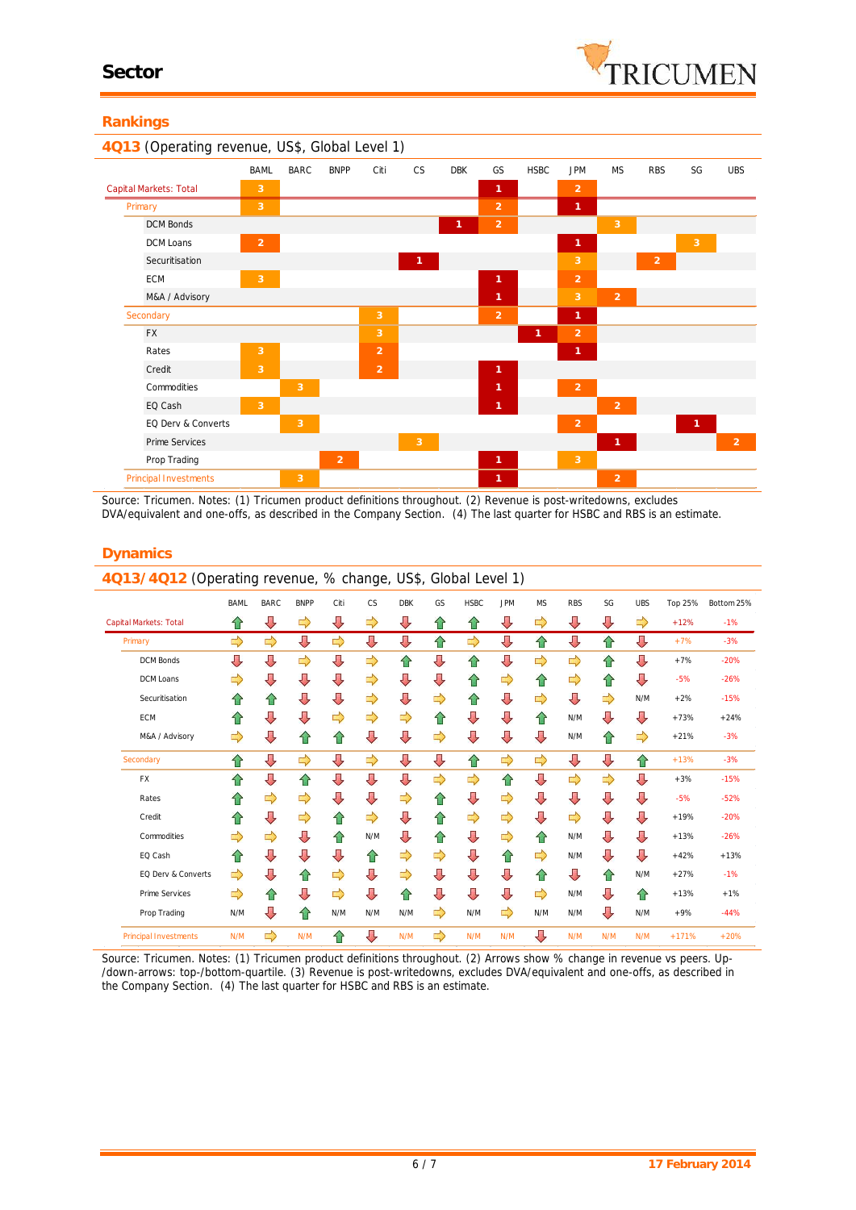#### **Rankings**

| 4Q13 (Operating revenue, US\$, Global Level 1) |                |                |                |                |                |            |                |              |                |                |                |                |                |
|------------------------------------------------|----------------|----------------|----------------|----------------|----------------|------------|----------------|--------------|----------------|----------------|----------------|----------------|----------------|
|                                                | <b>BAML</b>    | <b>BARC</b>    | <b>BNPP</b>    | Citi           | <b>CS</b>      | <b>DBK</b> | GS             | <b>HSBC</b>  | <b>JPM</b>     | <b>MS</b>      | <b>RBS</b>     | SG             | <b>UBS</b>     |
| Capital Markets: Total                         | 3              |                |                |                |                |            | $\mathbf{1}$   |              | $\overline{2}$ |                |                |                |                |
| Primary                                        | 3              |                |                |                |                |            | $\overline{2}$ |              | 1              |                |                |                |                |
| <b>DCM Bonds</b>                               |                |                |                |                |                | 1          | $\overline{2}$ |              |                | 3              |                |                |                |
| DCM Loans                                      | $\overline{2}$ |                |                |                |                |            |                |              | $\mathbf{1}$   |                |                | 3              |                |
| Securitisation                                 |                |                |                |                | $\overline{1}$ |            |                |              | 3              |                | $\overline{2}$ |                |                |
| <b>ECM</b>                                     | $\overline{3}$ |                |                |                |                |            | 1              |              | $\overline{2}$ |                |                |                |                |
| M&A / Advisory                                 |                |                |                |                |                |            | 1              |              | 3              | 2              |                |                |                |
| Secondary                                      |                |                |                | 3              |                |            | $\overline{2}$ |              | $\mathbf{1}$   |                |                |                |                |
| <b>FX</b>                                      |                |                |                | 3              |                |            |                | $\mathbf{1}$ | $\overline{2}$ |                |                |                |                |
| Rates                                          | $\overline{3}$ |                |                | $\overline{2}$ |                |            |                |              | $\mathbf{1}$   |                |                |                |                |
| Credit                                         | $\overline{3}$ |                |                | $\overline{2}$ |                |            | $\mathbf{1}$   |              |                |                |                |                |                |
| Commodities                                    |                | $\overline{3}$ |                |                |                |            | 1              |              | $\overline{2}$ |                |                |                |                |
| EQ Cash                                        | $\overline{3}$ |                |                |                |                |            | 1              |              |                | $\overline{2}$ |                |                |                |
| EQ Derv & Converts                             |                | $\overline{3}$ |                |                |                |            |                |              | 2              |                |                | $\overline{1}$ |                |
| Prime Services                                 |                |                |                |                | $\overline{3}$ |            |                |              |                | $\mathbf{1}$   |                |                | $\overline{2}$ |
| Prop Trading                                   |                |                | $\overline{2}$ |                |                |            | $\mathbf{1}$   |              | $\overline{3}$ |                |                |                |                |
| Principal Investments                          |                | $\overline{3}$ |                |                |                |            | $\mathbf{1}$   |              |                | 2              |                |                |                |

*Source: Tricumen. Notes: (1) Tricumen product definitions throughout. (2) Revenue is post-writedowns, excludes DVA/equivalent and one-offs, as described in the Company Section. (4) The last quarter for HSBC and RBS is an estimate.*

| <b>Dynamics</b> |  |
|-----------------|--|
|-----------------|--|

| 4Q13/4Q12 (Operating revenue, % change, US\$, Global Level 1) |             |             |             |               |     |            |               |             |            |               |            |     |            |         |            |
|---------------------------------------------------------------|-------------|-------------|-------------|---------------|-----|------------|---------------|-------------|------------|---------------|------------|-----|------------|---------|------------|
|                                                               | <b>BAML</b> | <b>BARC</b> | <b>BNPP</b> | Citi          | CS  | <b>DBK</b> | GS            | <b>HSBC</b> | <b>JPM</b> | <b>MS</b>     | <b>RBS</b> | SG  | <b>UBS</b> | Top 25% | Bottom 25% |
| Capital Markets: Total                                        | €           | ⇩           | ⇨           | ⇩             | ⇨   | ⇩          | ⇧             | ⇧           | ⇩          | ⇨             | ⇩          | ⇩   | ⇨          | $+12%$  | $-1%$      |
| Primary                                                       | ⇨           | ⇨           | ⇩           | $\Rightarrow$ | ⇩   | ⇩          | ⇧             | ⇨           | ⇩          | ⇧             | ⇩          | ⇧   | ⇩          | $+7%$   | $-3%$      |
| <b>DCM Bonds</b>                                              | ⇩           | ⇩           | ⇨           | ⇩             | ⇨   | 슙          | ⇩             | ⇧           | ⇩          | $\Rightarrow$ | ⇨          | ⇧   | ⇩          | $+7%$   | $-20%$     |
| DCM Loans                                                     | ⇨           | ⇩           | ⇩           | ⇩             | ⇨   | ⇩          | ⇩             | ⇧           | ⇨          | ⇧             | ⇨          | ⇑   | ⇩          | $-5%$   | $-26%$     |
| Securitisation                                                | ⇑           | 企           | ⇩           | ⇩             | ⇨   | ⇩          | $\Rightarrow$ | ⇧           | ⇩          | $\Rightarrow$ | ⇩          | ⇨   | N/M        | $+2%$   | $-15%$     |
| <b>ECM</b>                                                    | ⇑           | ⇩           | ⇩           | ⇨             | ⇨   | ⇨          | ⇧             | ⇩           | ⇩          | 合             | N/M        | ⇩   | ⇩          | $+73%$  | $+24%$     |
| M&A / Advisory                                                | ⇨           | ⇩           | ⇑           | ⇧             | ⇩   | ⇩          | $\Rightarrow$ | ⇩           | ⇩          | ⇩             | N/M        | ⇧   | ⇨          | $+21%$  | $-3%$      |
| Secondary                                                     | ⇑           | ⇩           | ⇨           | ⇩             | ⇨   | ⇩          | ⇩             | ⇧           | ⇨          | $\Rightarrow$ | ⇩          | ⇩   | ⇧          | $+13%$  | $-3%$      |
| FX                                                            | ⇑           | ⇩           | ⇧           | ⇩             | ⇩   | ⇩          | $\Rightarrow$ | ⇨           | ⇧          | ⇩             | ⇨          | ⇨   | ⇩          | $+3%$   | $-15%$     |
| Rates                                                         | ⇑           | ⇨           | ⇨           | ⇩             | ⇩   | ⇨          | ⇧             | ⇩           | ⇨          | ⇩             | ⇩          | ⇩   | ⇩          | $-5%$   | $-52%$     |
| Credit                                                        | ⇑           | ⇩           | ⇨           | ⇧             | ⇨   | ⇩          | ⇧             | ⇨           | ⇨          | ⇩             | ⇨          | ⇩   | ⇩          | $+19%$  | $-20%$     |
| Commodities                                                   | ⇨           | ⇨           | ⇩           | ⇧             | N/M | ⇩          | 슌             | ⇩           | ⇨          | ⇧             | N/M        | ⇩   | ⇩          | $+13%$  | $-26%$     |
| EQ Cash                                                       | ⇑           | ⇩           | ⇩           | ⇩             | ⇧   | ⇨          | ⇨             | ⇩           | ⇧          | ⇨             | N/M        | ⇩   | ⇩          | $+42%$  | $+13%$     |
| EQ Derv & Converts                                            | ⇨           | J           | ⇧           | ⇨             | ⇩   | ⇨          | ⇩             | ⇩           | ⇩          | ⇧             | ⇩          | 仐   | N/M        | $+27%$  | $-1%$      |
| <b>Prime Services</b>                                         | ⇨           | ⇑           | ⇩           | ⇨             | ⇩   | ⇧          | ⇩             | ⇩           | ⇩          | ⇨             | N/M        | ⇩   | ⇧          | $+13%$  | $+1%$      |
| Prop Trading                                                  | N/M         | ⇩           | ⇑           | N/M           | N/M | N/M        | ⇨             | N/M         | ⇨          | N/M           | N/M        | ĮТ, | N/M        | $+9%$   | $-44%$     |
| <b>Principal Investments</b>                                  | N/M         | ⇨           | N/M         | ⇧             | ⇩   | N/M        | ⇨             | N/M         | N/M        | ⇩             | N/M        | N/M | N/M        | $+171%$ | $+20%$     |

*Source: Tricumen. Notes: (1) Tricumen product definitions throughout. (2) Arrows show % change in revenue vs peers. Up- /down-arrows: top-/bottom-quartile. (3) Revenue is post-writedowns, excludes DVA/equivalent and one-offs, as described in the Company Section. (4) The last quarter for HSBC and RBS isan estimate.*